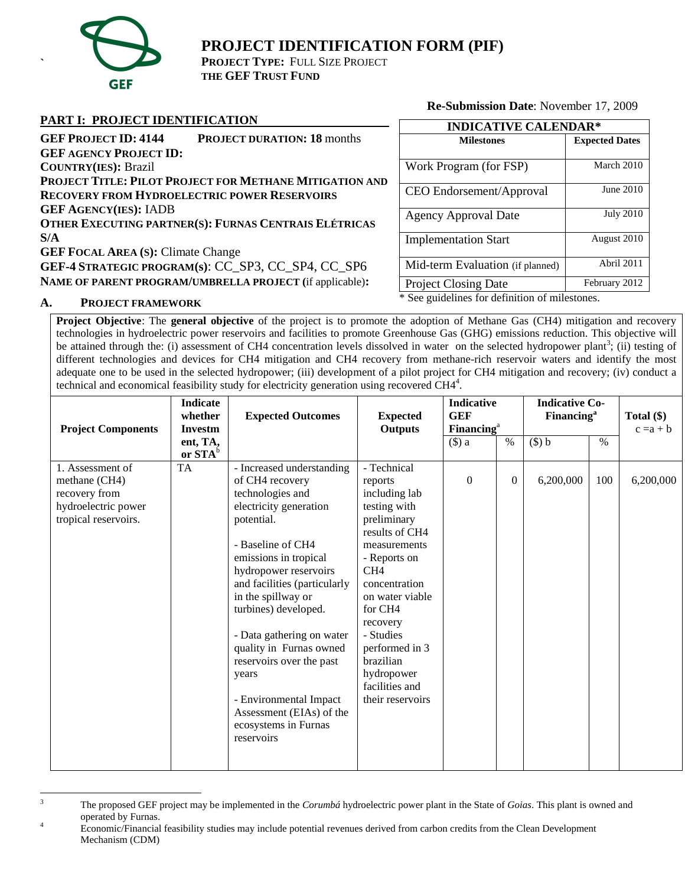

**`**

# **PROJECT IDENTIFICATION FORM (PIF)**

**PROJECT TYPE:** FULL SIZE PROJECT **THE GEF TRUST FUND**

## **PART I: PROJECT IDENTIFICATION**

**Re-Submission Date**: November 17, 2009

| TANT I. TROJECT IDENTIFICATION                                    |      |
|-------------------------------------------------------------------|------|
| <b>GEF PROJECT ID: 4144</b><br><b>PROJECT DURATION: 18 months</b> |      |
| <b>GEF AGENCY PROJECT ID:</b>                                     |      |
| <b>COUNTRY(IES): Brazil</b>                                       | Wo   |
| PROJECT TITLE: PILOT PROJECT FOR METHANE MITIGATION AND           |      |
| <b>RECOVERY FROM HYDROELECTRIC POWER RESERVOIRS</b>               | CE   |
| <b>GEF AGENCY(IES): IADB</b>                                      |      |
| OTHER EXECUTING PARTNER(S): FURNAS CENTRAIS ELÉTRICAS             | Age  |
| S/A                                                               | Imp  |
| <b>GEF FOCAL AREA (S): Climate Change</b>                         |      |
| GEF-4 STRATEGIC PROGRAM(s): CC_SP3, CC_SP4, CC_SP6                | Mid  |
| NAME OF PARENT PROGRAM/UMBRELLA PROJECT (if applicable):          | Proi |

| <b>INDICATIVE CALENDAR*</b>      |                       |  |  |  |  |
|----------------------------------|-----------------------|--|--|--|--|
| <b>Milestones</b>                | <b>Expected Dates</b> |  |  |  |  |
| Work Program (for FSP)           | March 2010            |  |  |  |  |
| CEO Endorsement/Approval         | June 2010             |  |  |  |  |
| <b>Agency Approval Date</b>      | <b>July 2010</b>      |  |  |  |  |
| <b>Implementation Start</b>      | August 2010           |  |  |  |  |
| Mid-term Evaluation (if planned) | Abril 2011            |  |  |  |  |
| <b>Project Closing Date</b>      | February 2012         |  |  |  |  |
| $\sim$ $\sim$ $\sim$             |                       |  |  |  |  |

\* See guidelines for definition of milestones.

# **A. PROJECT FRAMEWORK**

**Project Objective**: The **general objective** of the project is to promote the adoption of Methane Gas (CH4) mitigation and recovery technologies in hydroelectric power reservoirs and facilities to promote Greenhouse Gas (GHG) emissions reduction. This objective will be attained through the: (i) assessment of CH4 concentration levels dissolved in water on the selected hydropower plant<sup>3</sup>; (ii) testing of different technologies and devices for CH4 mitigation and CH4 recovery from methane-rich reservoir waters and identify the most adequate one to be used in the selected hydropower; (iii) development of a pilot project for CH4 mitigation and recovery; (iv) conduct a technical and economical feasibility study for electricity generation using recovered CH4<sup>4</sup>.

| <b>Project Components</b> | <b>Indicate</b><br><b>Expected Outcomes</b><br>whether<br><b>Expected</b><br><b>Outputs</b><br><b>Investm</b> |                                                  | <b>Indicative</b><br><b>GEF</b> |          | <b>Financing</b> <sup>a</sup> |           | <b>Indicative Co-</b><br><b>Financing</b> <sup>a</sup> |           |  |  | Total $(\$)$<br>$c = a + b$ |  |
|---------------------------|---------------------------------------------------------------------------------------------------------------|--------------------------------------------------|---------------------------------|----------|-------------------------------|-----------|--------------------------------------------------------|-----------|--|--|-----------------------------|--|
|                           | ent, TA,<br>or $STA^b$                                                                                        |                                                  |                                 | $(\$)$ a | $\%$                          | $($ \$) b | $\%$                                                   |           |  |  |                             |  |
| TA<br>1. Assessment of    |                                                                                                               | - Increased understanding                        | - Technical                     |          |                               |           |                                                        |           |  |  |                             |  |
| methane (CH4)             |                                                                                                               | of CH4 recovery                                  | reports                         | $\Omega$ | $\boldsymbol{0}$              | 6,200,000 | 100                                                    | 6,200,000 |  |  |                             |  |
| recovery from             |                                                                                                               | technologies and                                 | including lab                   |          |                               |           |                                                        |           |  |  |                             |  |
| hydroelectric power       |                                                                                                               | electricity generation                           | testing with                    |          |                               |           |                                                        |           |  |  |                             |  |
| tropical reservoirs.      |                                                                                                               | potential.                                       | preliminary<br>results of CH4   |          |                               |           |                                                        |           |  |  |                             |  |
|                           |                                                                                                               | - Baseline of CH4                                | measurements                    |          |                               |           |                                                        |           |  |  |                             |  |
|                           |                                                                                                               | emissions in tropical                            | - Reports on                    |          |                               |           |                                                        |           |  |  |                             |  |
|                           |                                                                                                               | hydropower reservoirs                            | CH <sub>4</sub>                 |          |                               |           |                                                        |           |  |  |                             |  |
|                           |                                                                                                               | and facilities (particularly                     | concentration                   |          |                               |           |                                                        |           |  |  |                             |  |
|                           |                                                                                                               | in the spillway or                               | on water viable                 |          |                               |           |                                                        |           |  |  |                             |  |
|                           |                                                                                                               | turbines) developed.                             | for CH4                         |          |                               |           |                                                        |           |  |  |                             |  |
|                           |                                                                                                               |                                                  | recovery                        |          |                               |           |                                                        |           |  |  |                             |  |
|                           |                                                                                                               | - Data gathering on water                        | - Studies                       |          |                               |           |                                                        |           |  |  |                             |  |
|                           |                                                                                                               | quality in Furnas owned                          | performed in 3                  |          |                               |           |                                                        |           |  |  |                             |  |
|                           |                                                                                                               | reservoirs over the past                         | brazilian                       |          |                               |           |                                                        |           |  |  |                             |  |
|                           |                                                                                                               | years                                            | hydropower                      |          |                               |           |                                                        |           |  |  |                             |  |
|                           |                                                                                                               |                                                  | facilities and                  |          |                               |           |                                                        |           |  |  |                             |  |
|                           |                                                                                                               | - Environmental Impact                           | their reservoirs                |          |                               |           |                                                        |           |  |  |                             |  |
|                           |                                                                                                               | Assessment (EIAs) of the<br>ecosystems in Furnas |                                 |          |                               |           |                                                        |           |  |  |                             |  |
|                           |                                                                                                               | reservoirs                                       |                                 |          |                               |           |                                                        |           |  |  |                             |  |
|                           |                                                                                                               |                                                  |                                 |          |                               |           |                                                        |           |  |  |                             |  |
|                           |                                                                                                               |                                                  |                                 |          |                               |           |                                                        |           |  |  |                             |  |

 $\overline{3}$ <sup>3</sup> The proposed GEF project may be implemented in the *Corumbá* hydroelectric power plant in the State of *Goias*. This plant is owned and operated by Furnas.<br>
Economic/Financial feasibility studies may include potential revenues derived from carbon credits from the Clean Development

Mechanism (CDM)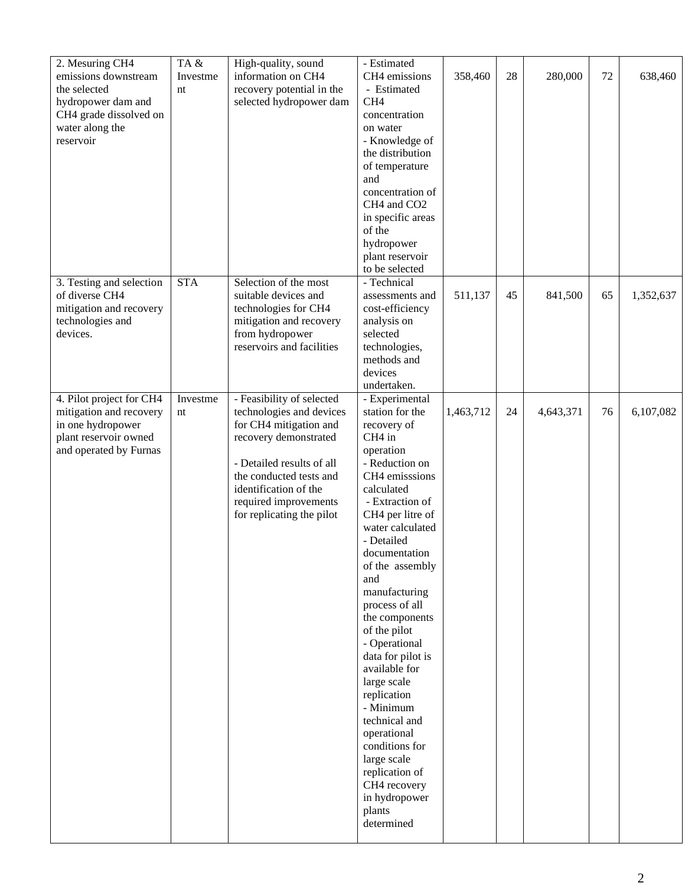| 2. Mesuring CH4<br>emissions downstream<br>the selected<br>hydropower dam and<br>CH4 grade dissolved on<br>water along the<br>reservoir | TA&<br>Investme<br>nt | High-quality, sound<br>information on CH4<br>recovery potential in the<br>selected hydropower dam                                                                                                                                               | - Estimated<br>CH4 emissions<br>- Estimated<br>CH <sub>4</sub><br>concentration<br>on water<br>- Knowledge of<br>the distribution<br>of temperature<br>and<br>concentration of<br>CH4 and CO2<br>in specific areas<br>of the<br>hydropower<br>plant reservoir<br>to be selected                                                                                                                                                                                                                                                                                              | 358,460   | 28 | 280,000   | 72 | 638,460   |
|-----------------------------------------------------------------------------------------------------------------------------------------|-----------------------|-------------------------------------------------------------------------------------------------------------------------------------------------------------------------------------------------------------------------------------------------|------------------------------------------------------------------------------------------------------------------------------------------------------------------------------------------------------------------------------------------------------------------------------------------------------------------------------------------------------------------------------------------------------------------------------------------------------------------------------------------------------------------------------------------------------------------------------|-----------|----|-----------|----|-----------|
| 3. Testing and selection<br>of diverse CH4<br>mitigation and recovery<br>technologies and<br>devices.                                   | <b>STA</b>            | Selection of the most<br>suitable devices and<br>technologies for CH4<br>mitigation and recovery<br>from hydropower<br>reservoirs and facilities                                                                                                | - Technical<br>assessments and<br>cost-efficiency<br>analysis on<br>selected<br>technologies,<br>methods and<br>devices<br>undertaken.                                                                                                                                                                                                                                                                                                                                                                                                                                       | 511,137   | 45 | 841,500   | 65 | 1,352,637 |
| 4. Pilot project for CH4<br>mitigation and recovery<br>in one hydropower<br>plant reservoir owned<br>and operated by Furnas             | Investme<br>nt        | - Feasibility of selected<br>technologies and devices<br>for CH4 mitigation and<br>recovery demonstrated<br>- Detailed results of all<br>the conducted tests and<br>identification of the<br>required improvements<br>for replicating the pilot | - Experimental<br>station for the<br>recovery of<br>CH <sub>4</sub> in<br>operation<br>- Reduction on<br>CH4 emisssions<br>calculated<br>- Extraction of<br>CH4 per litre of<br>water calculated<br>- Detailed<br>documentation<br>of the assembly<br>and<br>manufacturing<br>process of all<br>the components<br>of the pilot<br>- Operational<br>data for pilot is<br>available for<br>large scale<br>replication<br>- Minimum<br>technical and<br>operational<br>conditions for<br>large scale<br>replication of<br>CH4 recovery<br>in hydropower<br>plants<br>determined | 1,463,712 | 24 | 4,643,371 | 76 | 6,107,082 |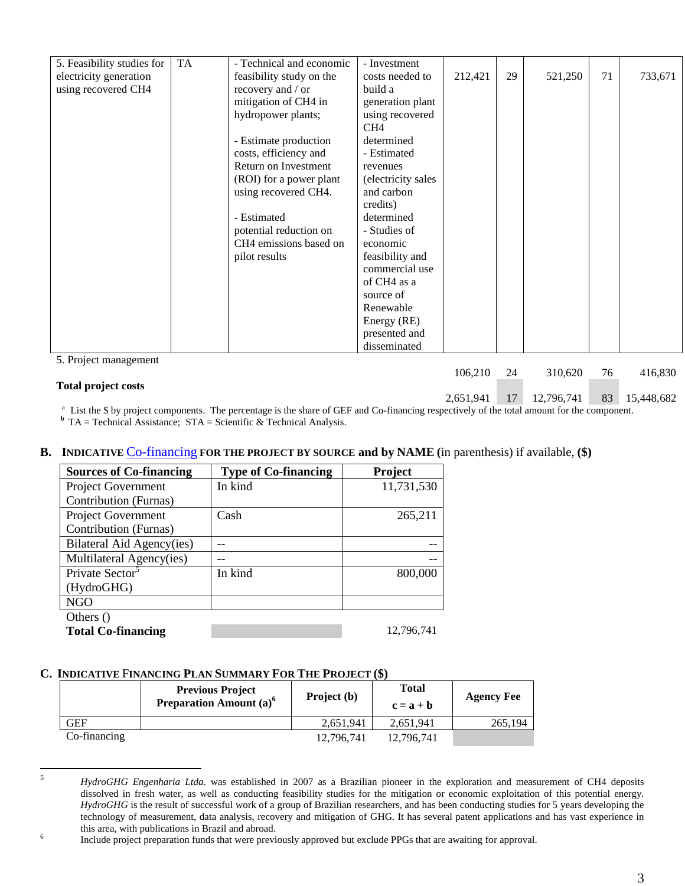| 5. Feasibility studies for | <b>TA</b> | - Technical and economic | - Investment       |         |    |         |    |         |
|----------------------------|-----------|--------------------------|--------------------|---------|----|---------|----|---------|
| electricity generation     |           | feasibility study on the | costs needed to    | 212,421 | 29 | 521,250 | 71 | 733,671 |
| using recovered CH4        |           | recovery and / or        | build a            |         |    |         |    |         |
|                            |           | mitigation of CH4 in     | generation plant   |         |    |         |    |         |
|                            |           | hydropower plants;       | using recovered    |         |    |         |    |         |
|                            |           |                          | CH <sub>4</sub>    |         |    |         |    |         |
|                            |           | - Estimate production    | determined         |         |    |         |    |         |
|                            |           | costs, efficiency and    | - Estimated        |         |    |         |    |         |
|                            |           | Return on Investment     | revenues           |         |    |         |    |         |
|                            |           | (ROI) for a power plant  | (electricity sales |         |    |         |    |         |
|                            |           | using recovered CH4.     | and carbon         |         |    |         |    |         |
|                            |           |                          | credits)           |         |    |         |    |         |
|                            |           | - Estimated              | determined         |         |    |         |    |         |
|                            |           | potential reduction on   | - Studies of       |         |    |         |    |         |
|                            |           | CH4 emissions based on   | economic           |         |    |         |    |         |
|                            |           | pilot results            | feasibility and    |         |    |         |    |         |
|                            |           |                          | commercial use     |         |    |         |    |         |
|                            |           |                          | of CH4 as a        |         |    |         |    |         |
|                            |           |                          | source of          |         |    |         |    |         |
|                            |           |                          | Renewable          |         |    |         |    |         |
|                            |           |                          | Energy (RE)        |         |    |         |    |         |
|                            |           |                          | presented and      |         |    |         |    |         |
|                            |           |                          | disseminated       |         |    |         |    |         |
| 5. Project management      |           |                          |                    |         |    |         |    |         |
|                            |           |                          |                    | 106,210 | 24 | 310,620 | 76 | 416,830 |
| <b>Total project costs</b> |           |                          |                    |         |    |         |    |         |

2,651,941 17 12,796,741 83 15,448,682

<sup>a</sup> List the \$ by project components. The percentage is the share of GEF and Co-financing respectively of the total amount for the component. **b** TA = Technical Assistance;  $STA = Scientific & Technical Analysis$ .

## **B. INDICATIVE** Co-financing **FOR THE PROJECT BY SOURCE and by NAME (**in parenthesis) if available, **(\$)**

| <b>Sources of Co-financing</b> | <b>Type of Co-financing</b> | <b>Project</b> |
|--------------------------------|-----------------------------|----------------|
| <b>Project Government</b>      | In kind                     | 11,731,530     |
| Contribution (Furnas)          |                             |                |
| <b>Project Government</b>      | Cash                        | 265,211        |
| Contribution (Furnas)          |                             |                |
| Bilateral Aid Agency(ies)      |                             |                |
| Multilateral Agency(ies)       |                             |                |
| Private Sector <sup>3</sup>    | In kind                     | 800,000        |
| (HydroGHG)                     |                             |                |
| NGO                            |                             |                |
| Others ()                      |                             |                |
| <b>Total Co-financing</b>      |                             | 12.796.741     |

## **C. INDICATIVE** F**INANCING PLAN SUMMARY FOR THE PROJECT (\$)**

|              | <b>Previous Project</b><br><b>Preparation Amount</b> $(a)^6$ | Project (b) | Total<br>$c = a + b$ | <b>Agency Fee</b> |
|--------------|--------------------------------------------------------------|-------------|----------------------|-------------------|
| GEF          |                                                              | 2,651,941   | 2.651.941            | 265,194           |
| Co-financing |                                                              | 12,796,741  | 12.796.741           |                   |

 $\sqrt{5}$ <sup>5</sup> *HydroGHG Engenharia Ltda*. was established in 2007 as a Brazilian pioneer in the exploration and measurement of CH4 deposits dissolved in fresh water, as well as conducting feasibility studies for the mitigation or economic exploitation of this potential energy. *HydroGHG* is the result of successful work of a group of Brazilian researchers, and has been conducting studies for 5 years developing the technology of measurement, data analysis, recovery and mitigation of GHG. It has several patent applications and has vast experience in this area, with publications in Brazil and abroad.

Include project preparation funds that were previously approved but exclude PPGs that are awaiting for approval.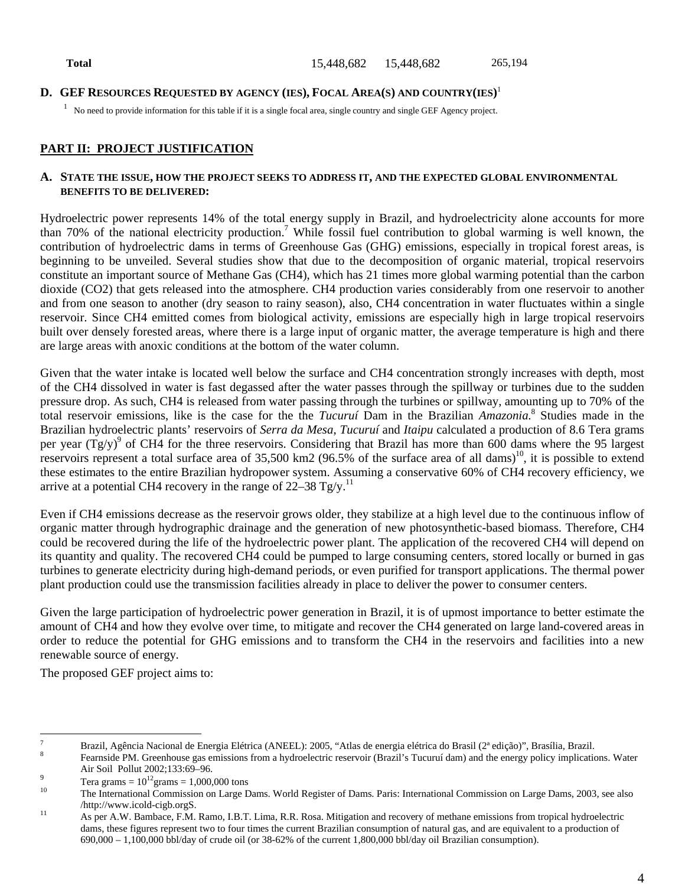## **D. GEF RESOURCES REQUESTED BY AGENCY (IES), FOCAL AREA(S) AND COUNTRY(IES)** 1

 $1$  No need to provide information for this table if it is a single focal area, single country and single GEF Agency project.

## **PART II: PROJECT JUSTIFICATION**

#### **A. STATE THE ISSUE, HOW THE PROJECT SEEKS TO ADDRESS IT, AND THE EXPECTED GLOBAL ENVIRONMENTAL BENEFITS TO BE DELIVERED:**

Hydroelectric power represents 14% of the total energy supply in Brazil, and hydroelectricity alone accounts for more than 70% of the national electricity production.<sup>7</sup> While fossil fuel contribution to global warming is well known, the contribution of hydroelectric dams in terms of Greenhouse Gas (GHG) emissions, especially in tropical forest areas, is beginning to be unveiled. Several studies show that due to the decomposition of organic material, tropical reservoirs constitute an important source of Methane Gas (CH4), which has 21 times more global warming potential than the carbon dioxide (CO2) that gets released into the atmosphere. CH4 production varies considerably from one reservoir to another and from one season to another (dry season to rainy season), also, CH4 concentration in water fluctuates within a single reservoir. Since CH4 emitted comes from biological activity, emissions are especially high in large tropical reservoirs built over densely forested areas, where there is a large input of organic matter, the average temperature is high and there are large areas with anoxic conditions at the bottom of the water column.

Given that the water intake is located well below the surface and CH4 concentration strongly increases with depth, most of the CH4 dissolved in water is fast degassed after the water passes through the spillway or turbines due to the sudden pressure drop. As such, CH4 is released from water passing through the turbines or spillway, amounting up to 70% of the total reservoir emissions, like is the case for the the *Tucuruí* Dam in the Brazilian *Amazonia.*<sup>8</sup> Studies made in the Brazilian hydroelectric plants' reservoirs of *Serra da Mesa*, *Tucuruí* and *Itaipu* calculated a production of 8.6 Tera grams per year  $(Tg/y)^9$  of CH4 for the three reservoirs. Considering that Brazil has more than 600 dams where the 95 largest reservoirs represent a total surface area of  $35,500 \text{ km}$ 2 (96.5% of the surface area of all dams)<sup>10</sup>, it is possible to extend these estimates to the entire Brazilian hydropower system. Assuming a conservative 60% of CH4 recovery efficiency, we arrive at a potential CH4 recovery in the range of  $22-38$  Tg/y.<sup>11</sup>

Even if CH4 emissions decrease as the reservoir grows older, they stabilize at a high level due to the continuous inflow of organic matter through hydrographic drainage and the generation of new photosynthetic-based biomass. Therefore, CH4 could be recovered during the life of the hydroelectric power plant. The application of the recovered CH4 will depend on its quantity and quality. The recovered CH4 could be pumped to large consuming centers, stored locally or burned in gas turbines to generate electricity during high-demand periods, or even purified for transport applications. The thermal power plant production could use the transmission facilities already in place to deliver the power to consumer centers.

Given the large participation of hydroelectric power generation in Brazil, it is of upmost importance to better estimate the amount of CH4 and how they evolve over time, to mitigate and recover the CH4 generated on large land-covered areas in order to reduce the potential for GHG emissions and to transform the CH4 in the reservoirs and facilities into a new renewable source of energy.

The proposed GEF project aims to:

 $\overline{a}$ 

<sup>&</sup>lt;sup>7</sup> Brazil, Agência Nacional de Energia Elétrica (ANEEL): 2005, "Atlas de energia elétrica do Brasil (2<sup>ª</sup> edição)", Brasília, Brazil.<br><sup>8</sup> Fearnside PM. Greenhouse gas emissions from a hydroelectric reservoir (Brazil's Tuc Air Soil Pollut 2002;133:69–96.<br>  $\frac{9}{2}$  Tera grams = 10<sup>12</sup>grams = 1,000,000 tons<br>
The International Commission on Large F

<sup>10</sup> The International Commission on Large Dams. World Register of Dams. Paris: International Commission on Large Dams, 2003, see also

<sup>/</sup>http://www.icold-cigb.orgS. <sup>11</sup> As per A.W. Bambace, F.M. Ramo, I.B.T. Lima, R.R. Rosa. Mitigation and recovery of methane emissions from tropical hydroelectric dams, these figures represent two to four times the current Brazilian consumption of natural gas, and are equivalent to a production of 690,000 – 1,100,000 bbl/day of crude oil (or 38-62% of the current 1,800,000 bbl/day oil Brazilian consumption).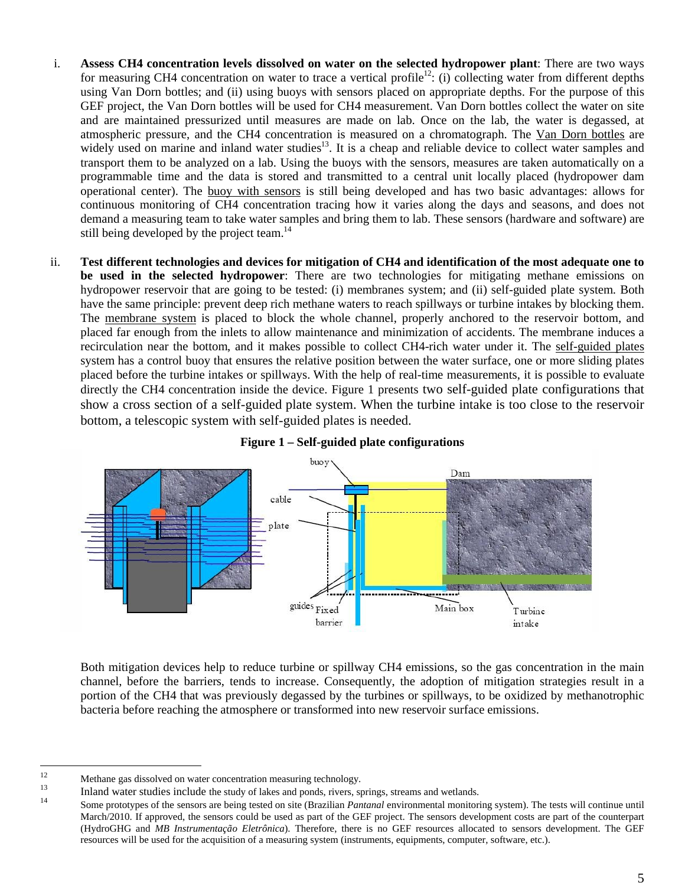- i. **Assess CH4 concentration levels dissolved on water on the selected hydropower plant**: There are two ways for measuring CH4 concentration on water to trace a vertical profile<sup>12</sup>: (i) collecting water from different depths using Van Dorn bottles; and (ii) using buoys with sensors placed on appropriate depths. For the purpose of this GEF project, the Van Dorn bottles will be used for CH4 measurement. Van Dorn bottles collect the water on site and are maintained pressurized until measures are made on lab. Once on the lab, the water is degassed, at atmospheric pressure, and the CH4 concentration is measured on a chromatograph. The Van Dorn bottles are widely used on marine and inland water studies<sup>13</sup>. It is a cheap and reliable device to collect water samples and transport them to be analyzed on a lab. Using the buoys with the sensors, measures are taken automatically on a programmable time and the data is stored and transmitted to a central unit locally placed (hydropower dam operational center). The buoy with sensors is still being developed and has two basic advantages: allows for continuous monitoring of CH4 concentration tracing how it varies along the days and seasons, and does not demand a measuring team to take water samples and bring them to lab. These sensors (hardware and software) are still being developed by the project team.<sup>14</sup>
- ii. **Test different technologies and devices for mitigation of CH4 and identification of the most adequate one to be used in the selected hydropower**: There are two technologies for mitigating methane emissions on hydropower reservoir that are going to be tested: (i) membranes system; and (ii) self-guided plate system. Both have the same principle: prevent deep rich methane waters to reach spillways or turbine intakes by blocking them. The membrane system is placed to block the whole channel, properly anchored to the reservoir bottom, and placed far enough from the inlets to allow maintenance and minimization of accidents. The membrane induces a recirculation near the bottom, and it makes possible to collect CH4-rich water under it. The self-guided plates system has a control buoy that ensures the relative position between the water surface, one or more sliding plates placed before the turbine intakes or spillways. With the help of real-time measurements, it is possible to evaluate directly the CH4 concentration inside the device. Figure 1 presents two self-guided plate configurations that show a cross section of a self-guided plate system. When the turbine intake is too close to the reservoir bottom, a telescopic system with self-guided plates is needed.



## **Figure 1 – Self-guided plate configurations**

Both mitigation devices help to reduce turbine or spillway CH4 emissions, so the gas concentration in the main channel, before the barriers, tends to increase. Consequently, the adoption of mitigation strategies result in a portion of the CH4 that was previously degassed by the turbines or spillways, to be oxidized by methanotrophic bacteria before reaching the atmosphere or transformed into new reservoir surface emissions.

<sup>12</sup> 

Methane gas dissolved on water concentration measuring technology.<br>
Inland water studies include the study of lakes and ponds, rivers, springs, streams and wetlands.<br>
Some prototypes of the sensors are being tested on site March/2010. If approved, the sensors could be used as part of the GEF project. The sensors development costs are part of the counterpart (HydroGHG and *MB Instrumentação Eletrônica*). Therefore, there is no GEF resources allocated to sensors development. The GEF resources will be used for the acquisition of a measuring system (instruments, equipments, computer, software, etc.).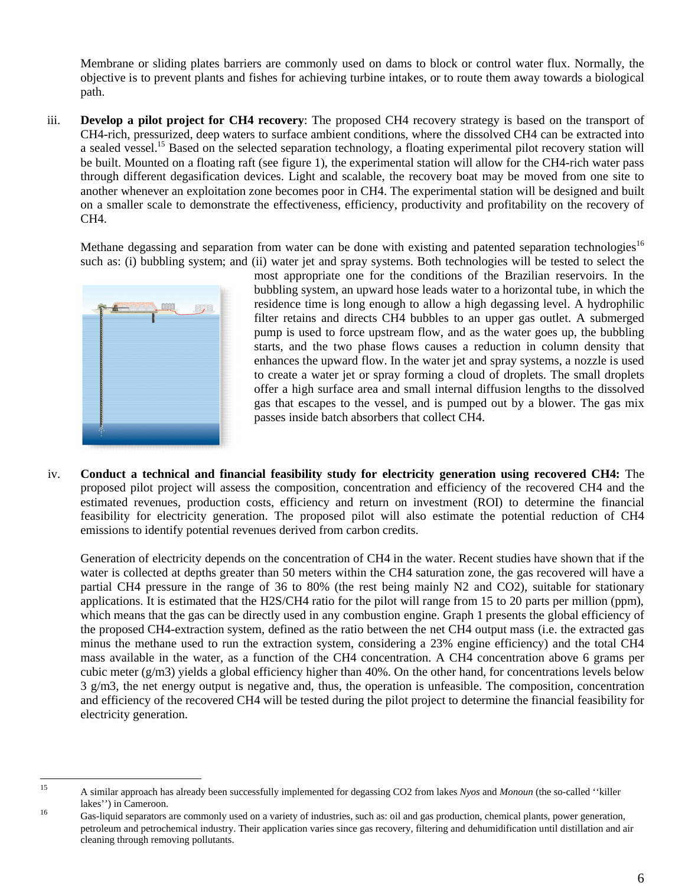Membrane or sliding plates barriers are commonly used on dams to block or control water flux. Normally, the objective is to prevent plants and fishes for achieving turbine intakes, or to route them away towards a biological path.

iii. **Develop a pilot project for CH4 recovery**: The proposed CH4 recovery strategy is based on the transport of CH4-rich, pressurized, deep waters to surface ambient conditions, where the dissolved CH4 can be extracted into a sealed vessel.<sup>15</sup> Based on the selected separation technology, a floating experimental pilot recovery station will be built. Mounted on a floating raft (see figure 1), the experimental station will allow for the CH4-rich water pass through different degasification devices. Light and scalable, the recovery boat may be moved from one site to another whenever an exploitation zone becomes poor in CH4. The experimental station will be designed and built on a smaller scale to demonstrate the effectiveness, efficiency, productivity and profitability on the recovery of CH4.

Methane degassing and separation from water can be done with existing and patented separation technologies<sup>16</sup> such as: (i) bubbling system; and (ii) water jet and spray systems. Both technologies will be tested to select the



most appropriate one for the conditions of the Brazilian reservoirs. In the bubbling system, an upward hose leads water to a horizontal tube, in which the residence time is long enough to allow a high degassing level. A hydrophilic filter retains and directs CH4 bubbles to an upper gas outlet. A submerged pump is used to force upstream flow, and as the water goes up, the bubbling starts, and the two phase flows causes a reduction in column density that enhances the upward flow. In the water jet and spray systems, a nozzle is used to create a water jet or spray forming a cloud of droplets. The small droplets offer a high surface area and small internal diffusion lengths to the dissolved gas that escapes to the vessel, and is pumped out by a blower. The gas mix passes inside batch absorbers that collect CH4.

iv. **Conduct a technical and financial feasibility study for electricity generation using recovered CH4:** The proposed pilot project will assess the composition, concentration and efficiency of the recovered CH4 and the estimated revenues, production costs, efficiency and return on investment (ROI) to determine the financial feasibility for electricity generation. The proposed pilot will also estimate the potential reduction of CH4 emissions to identify potential revenues derived from carbon credits.

Generation of electricity depends on the concentration of CH4 in the water. Recent studies have shown that if the water is collected at depths greater than 50 meters within the CH4 saturation zone, the gas recovered will have a partial CH4 pressure in the range of 36 to 80% (the rest being mainly N2 and CO2), suitable for stationary applications. It is estimated that the H2S/CH4 ratio for the pilot will range from 15 to 20 parts per million (ppm), which means that the gas can be directly used in any combustion engine. Graph 1 presents the global efficiency of the proposed CH4-extraction system, defined as the ratio between the net CH4 output mass (i.e. the extracted gas minus the methane used to run the extraction system, considering a 23% engine efficiency) and the total CH4 mass available in the water, as a function of the CH4 concentration. A CH4 concentration above 6 grams per cubic meter  $(g/m3)$  yields a global efficiency higher than 40%. On the other hand, for concentrations levels below 3 g/m3, the net energy output is negative and, thus, the operation is unfeasible. The composition, concentration and efficiency of the recovered CH4 will be tested during the pilot project to determine the financial feasibility for electricity generation.

<sup>15</sup> 

<sup>15</sup> A similar approach has already been successfully implemented for degassing CO2 from lakes *Nyos* and *Monoun* (the so-called ''killer

lakes'') in Cameroon.<br><sup>16</sup> Gas-liquid separators are commonly used on a variety of industries, such as: oil and gas production, chemical plants, power generation, petroleum and petrochemical industry. Their application varies since gas recovery, filtering and dehumidification until distillation and air cleaning through removing pollutants.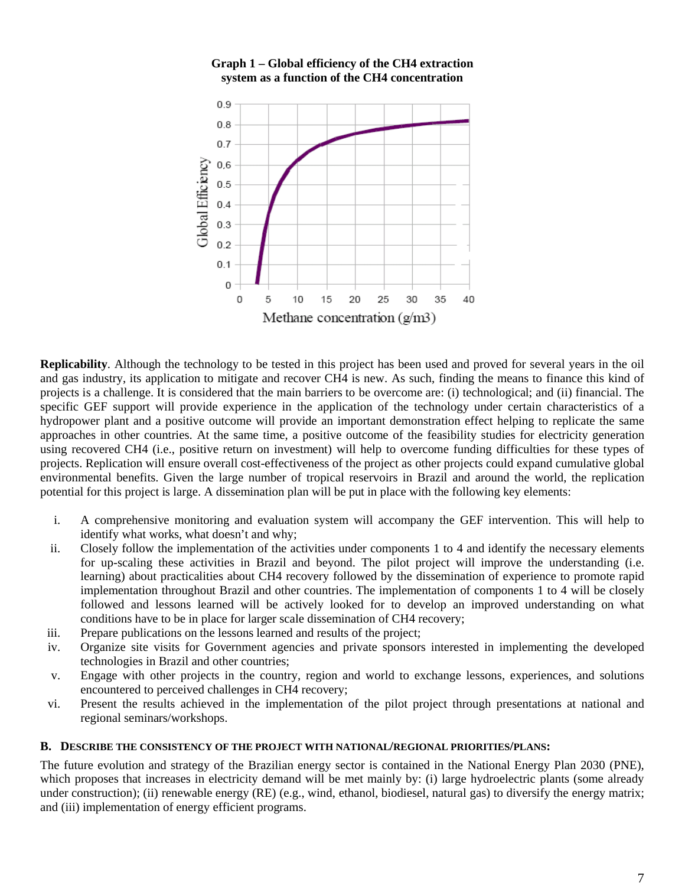

## **Graph 1 – Global efficiency of the CH4 extraction system as a function of the CH4 concentration**

**Replicability**. Although the technology to be tested in this project has been used and proved for several years in the oil and gas industry, its application to mitigate and recover CH4 is new. As such, finding the means to finance this kind of projects is a challenge. It is considered that the main barriers to be overcome are: (i) technological; and (ii) financial. The specific GEF support will provide experience in the application of the technology under certain characteristics of a hydropower plant and a positive outcome will provide an important demonstration effect helping to replicate the same approaches in other countries. At the same time, a positive outcome of the feasibility studies for electricity generation using recovered CH4 (i.e., positive return on investment) will help to overcome funding difficulties for these types of projects. Replication will ensure overall cost-effectiveness of the project as other projects could expand cumulative global environmental benefits. Given the large number of tropical reservoirs in Brazil and around the world, the replication potential for this project is large. A dissemination plan will be put in place with the following key elements:

- i. A comprehensive monitoring and evaluation system will accompany the GEF intervention. This will help to identify what works, what doesn't and why;
- ii. Closely follow the implementation of the activities under components 1 to 4 and identify the necessary elements for up-scaling these activities in Brazil and beyond. The pilot project will improve the understanding (i.e. learning) about practicalities about CH4 recovery followed by the dissemination of experience to promote rapid implementation throughout Brazil and other countries. The implementation of components 1 to 4 will be closely followed and lessons learned will be actively looked for to develop an improved understanding on what conditions have to be in place for larger scale dissemination of CH4 recovery;
- iii. Prepare publications on the lessons learned and results of the project;
- iv. Organize site visits for Government agencies and private sponsors interested in implementing the developed technologies in Brazil and other countries;
- v. Engage with other projects in the country, region and world to exchange lessons, experiences, and solutions encountered to perceived challenges in CH4 recovery;
- vi. Present the results achieved in the implementation of the pilot project through presentations at national and regional seminars/workshops.

#### **B. DESCRIBE THE CONSISTENCY OF THE PROJECT WITH NATIONAL/REGIONAL PRIORITIES/PLANS:**

The future evolution and strategy of the Brazilian energy sector is contained in the National Energy Plan 2030 (PNE), which proposes that increases in electricity demand will be met mainly by: (i) large hydroelectric plants (some already under construction); (ii) renewable energy (RE) (e.g., wind, ethanol, biodiesel, natural gas) to diversify the energy matrix; and (iii) implementation of energy efficient programs.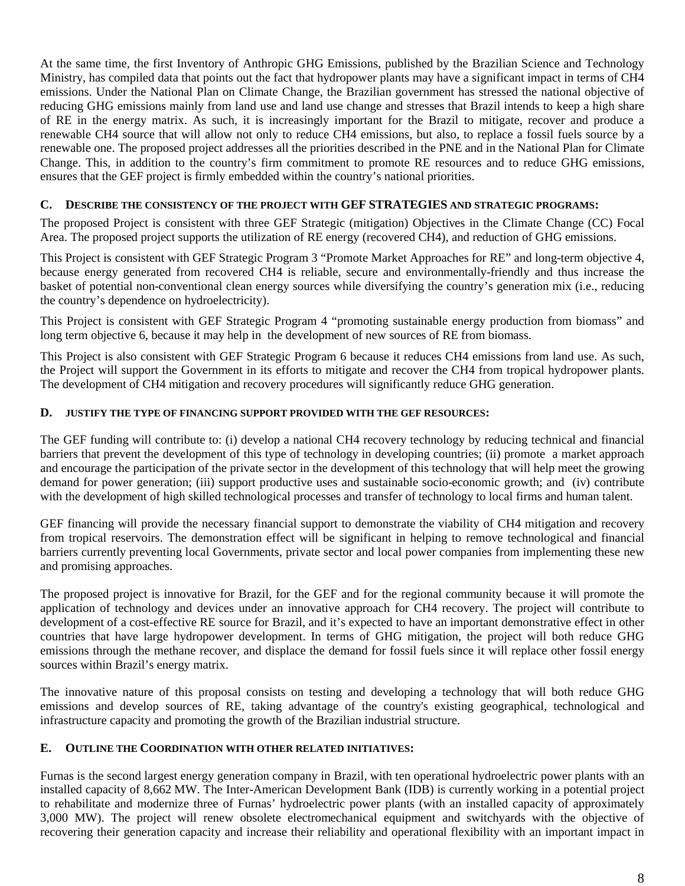At the same time, the first Inventory of Anthropic GHG Emissions, published by the Brazilian Science and Technology Ministry, has compiled data that points out the fact that hydropower plants may have a significant impact in terms of CH4 emissions. Under the National Plan on Climate Change, the Brazilian government has stressed the national objective of reducing GHG emissions mainly from land use and land use change and stresses that Brazil intends to keep a high share of RE in the energy matrix. As such, it is increasingly important for the Brazil to mitigate, recover and produce a renewable CH4 source that will allow not only to reduce CH4 emissions, but also, to replace a fossil fuels source by a renewable one. The proposed project addresses all the priorities described in the PNE and in the National Plan for Climate Change. This, in addition to the country's firm commitment to promote RE resources and to reduce GHG emissions, ensures that the GEF project is firmly embedded within the country's national priorities.

## **C. DESCRIBE THE CONSISTENCY OF THE PROJECT WITH GEF STRATEGIES AND STRATEGIC PROGRAMS:**

The proposed Project is consistent with three GEF Strategic (mitigation) Objectives in the Climate Change (CC) Focal Area. The proposed project supports the utilization of RE energy (recovered CH4), and reduction of GHG emissions.

This Project is consistent with GEF Strategic Program 3 "Promote Market Approaches for RE" and long-term objective 4, because energy generated from recovered CH4 is reliable, secure and environmentally-friendly and thus increase the basket of potential non-conventional clean energy sources while diversifying the country's generation mix (i.e., reducing the country's dependence on hydroelectricity).

This Project is consistent with GEF Strategic Program 4 "promoting sustainable energy production from biomass" and long term objective 6, because it may help in the development of new sources of RE from biomass.

This Project is also consistent with GEF Strategic Program 6 because it reduces CH4 emissions from land use. As such, the Project will support the Government in its efforts to mitigate and recover the CH4 from tropical hydropower plants. The development of CH4 mitigation and recovery procedures will significantly reduce GHG generation.

## **D. JUSTIFY THE TYPE OF FINANCING SUPPORT PROVIDED WITH THE GEF RESOURCES:**

The GEF funding will contribute to: (i) develop a national CH4 recovery technology by reducing technical and financial barriers that prevent the development of this type of technology in developing countries; (ii) promote a market approach and encourage the participation of the private sector in the development of this technology that will help meet the growing demand for power generation; (iii) support productive uses and sustainable socio-economic growth; and (iv) contribute with the development of high skilled technological processes and transfer of technology to local firms and human talent.

GEF financing will provide the necessary financial support to demonstrate the viability of CH4 mitigation and recovery from tropical reservoirs. The demonstration effect will be significant in helping to remove technological and financial barriers currently preventing local Governments, private sector and local power companies from implementing these new and promising approaches.

The proposed project is innovative for Brazil, for the GEF and for the regional community because it will promote the application of technology and devices under an innovative approach for CH4 recovery. The project will contribute to development of a cost-effective RE source for Brazil, and it's expected to have an important demonstrative effect in other countries that have large hydropower development. In terms of GHG mitigation, the project will both reduce GHG emissions through the methane recover, and displace the demand for fossil fuels since it will replace other fossil energy sources within Brazil's energy matrix.

The innovative nature of this proposal consists on testing and developing a technology that will both reduce GHG emissions and develop sources of RE, taking advantage of the country's existing geographical, technological and infrastructure capacity and promoting the growth of the Brazilian industrial structure.

## **E. OUTLINE THE COORDINATION WITH OTHER RELATED INITIATIVES:**

Furnas is the second largest energy generation company in Brazil, with ten operational hydroelectric power plants with an installed capacity of 8,662 MW. The Inter-American Development Bank (IDB) is currently working in a potential project to rehabilitate and modernize three of Furnas' hydroelectric power plants (with an installed capacity of approximately 3,000 MW). The project will renew obsolete electromechanical equipment and switchyards with the objective of recovering their generation capacity and increase their reliability and operational flexibility with an important impact in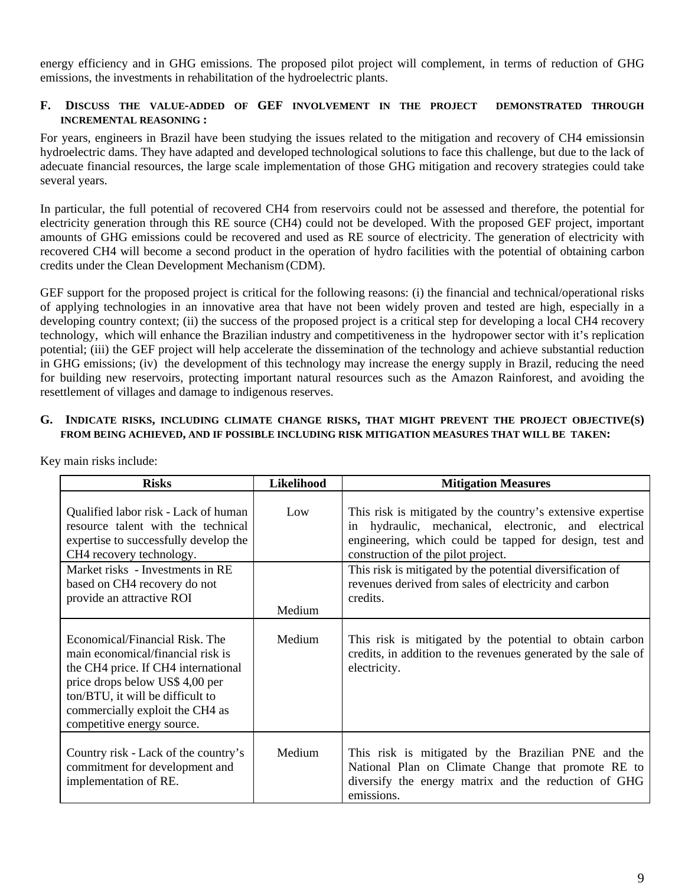energy efficiency and in GHG emissions. The proposed pilot project will complement, in terms of reduction of GHG emissions, the investments in rehabilitation of the hydroelectric plants.

## **F. DISCUSS THE VALUE-ADDED OF GEF INVOLVEMENT IN THE PROJECT DEMONSTRATED THROUGH INCREMENTAL REASONING :**

For years, engineers in Brazil have been studying the issues related to the mitigation and recovery of CH4 emissionsin hydroelectric dams. They have adapted and developed technological solutions to face this challenge, but due to the lack of adecuate financial resources, the large scale implementation of those GHG mitigation and recovery strategies could take several years.

In particular, the full potential of recovered CH4 from reservoirs could not be assessed and therefore, the potential for electricity generation through this RE source (CH4) could not be developed. With the proposed GEF project, important amounts of GHG emissions could be recovered and used as RE source of electricity. The generation of electricity with recovered CH4 will become a second product in the operation of hydro facilities with the potential of obtaining carbon credits under the Clean Development Mechanism (CDM).

GEF support for the proposed project is critical for the following reasons: (i) the financial and technical/operational risks of applying technologies in an innovative area that have not been widely proven and tested are high, especially in a developing country context; (ii) the success of the proposed project is a critical step for developing a local CH4 recovery technology, which will enhance the Brazilian industry and competitiveness in the hydropower sector with it's replication potential; (iii) the GEF project will help accelerate the dissemination of the technology and achieve substantial reduction in GHG emissions; (iv) the development of this technology may increase the energy supply in Brazil, reducing the need for building new reservoirs, protecting important natural resources such as the Amazon Rainforest, and avoiding the resettlement of villages and damage to indigenous reserves.

### **G. INDICATE RISKS, INCLUDING CLIMATE CHANGE RISKS, THAT MIGHT PREVENT THE PROJECT OBJECTIVE(S) FROM BEING ACHIEVED, AND IF POSSIBLE INCLUDING RISK MITIGATION MEASURES THAT WILL BE TAKEN:**

| <b>Risks</b>                                                                                                                                                                                                                                       | <b>Likelihood</b> | <b>Mitigation Measures</b>                                                                                                                                                                                           |
|----------------------------------------------------------------------------------------------------------------------------------------------------------------------------------------------------------------------------------------------------|-------------------|----------------------------------------------------------------------------------------------------------------------------------------------------------------------------------------------------------------------|
| Qualified labor risk - Lack of human<br>resource talent with the technical<br>expertise to successfully develop the<br>CH4 recovery technology.                                                                                                    | Low               | This risk is mitigated by the country's extensive expertise<br>in hydraulic, mechanical, electronic, and electrical<br>engineering, which could be tapped for design, test and<br>construction of the pilot project. |
| Market risks - Investments in RE<br>based on CH4 recovery do not<br>provide an attractive ROI                                                                                                                                                      | Medium            | This risk is mitigated by the potential diversification of<br>revenues derived from sales of electricity and carbon<br>credits.                                                                                      |
| Economical/Financial Risk. The<br>main economical/financial risk is<br>the CH4 price. If CH4 international<br>price drops below US\$ 4,00 per<br>ton/BTU, it will be difficult to<br>commercially exploit the CH4 as<br>competitive energy source. | Medium            | This risk is mitigated by the potential to obtain carbon<br>credits, in addition to the revenues generated by the sale of<br>electricity.                                                                            |
| Country risk - Lack of the country's<br>commitment for development and<br>implementation of RE.                                                                                                                                                    | Medium            | This risk is mitigated by the Brazilian PNE and the<br>National Plan on Climate Change that promote RE to<br>diversify the energy matrix and the reduction of GHG<br>emissions.                                      |

Key main risks include: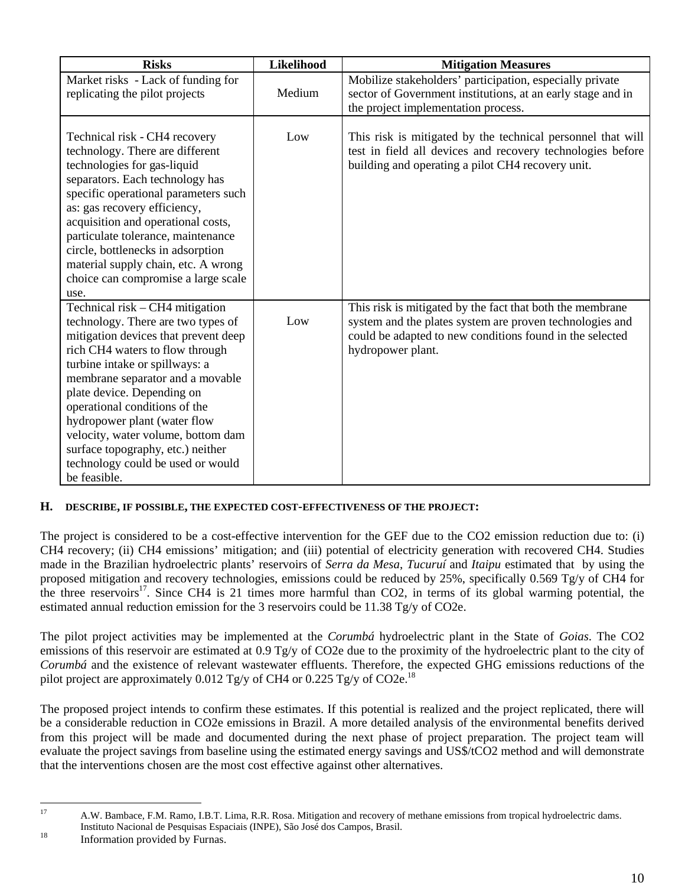| <b>Risks</b>                                                                                                                                                                                                                                                                                                                                                                                                                                          | <b>Likelihood</b> | <b>Mitigation Measures</b>                                                                                                                                                                             |
|-------------------------------------------------------------------------------------------------------------------------------------------------------------------------------------------------------------------------------------------------------------------------------------------------------------------------------------------------------------------------------------------------------------------------------------------------------|-------------------|--------------------------------------------------------------------------------------------------------------------------------------------------------------------------------------------------------|
| Market risks - Lack of funding for<br>replicating the pilot projects                                                                                                                                                                                                                                                                                                                                                                                  | Medium            | Mobilize stakeholders' participation, especially private<br>sector of Government institutions, at an early stage and in<br>the project implementation process.                                         |
| Technical risk - CH4 recovery<br>technology. There are different<br>technologies for gas-liquid<br>separators. Each technology has<br>specific operational parameters such<br>as: gas recovery efficiency,<br>acquisition and operational costs,<br>particulate tolerance, maintenance<br>circle, bottlenecks in adsorption<br>material supply chain, etc. A wrong<br>choice can compromise a large scale<br>use.                                     | Low               | This risk is mitigated by the technical personnel that will<br>test in field all devices and recovery technologies before<br>building and operating a pilot CH4 recovery unit.                         |
| Technical risk - CH4 mitigation<br>technology. There are two types of<br>mitigation devices that prevent deep<br>rich CH4 waters to flow through<br>turbine intake or spillways: a<br>membrane separator and a movable<br>plate device. Depending on<br>operational conditions of the<br>hydropower plant (water flow<br>velocity, water volume, bottom dam<br>surface topography, etc.) neither<br>technology could be used or would<br>be feasible. | Low               | This risk is mitigated by the fact that both the membrane<br>system and the plates system are proven technologies and<br>could be adapted to new conditions found in the selected<br>hydropower plant. |

## **H. DESCRIBE, IF POSSIBLE, THE EXPECTED COST-EFFECTIVENESS OF THE PROJECT:**

The project is considered to be a cost-effective intervention for the GEF due to the CO2 emission reduction due to: (i) CH4 recovery; (ii) CH4 emissions' mitigation; and (iii) potential of electricity generation with recovered CH4. Studies made in the Brazilian hydroelectric plants' reservoirs of *Serra da Mesa*, *Tucuruí* and *Itaipu* estimated that by using the proposed mitigation and recovery technologies, emissions could be reduced by 25%, specifically 0.569 Tg/y of CH4 for the three reservoirs<sup>17</sup>. Since CH4 is 21 times more harmful than CO2, in terms of its global warming potential, the estimated annual reduction emission for the 3 reservoirs could be  $11.38 \text{ Tg/y}$  of CO2e.

The pilot project activities may be implemented at the *Corumbá* hydroelectric plant in the State of *Goias*. The CO2 emissions of this reservoir are estimated at 0.9 Tg/y of CO2e due to the proximity of the hydroelectric plant to the city of *Corumbá* and the existence of relevant wastewater effluents. Therefore, the expected GHG emissions reductions of the pilot project are approximately 0.012 Tg/y of CH4 or 0.225 Tg/y of CO2e.<sup>18</sup>

The proposed project intends to confirm these estimates. If this potential is realized and the project replicated, there will be a considerable reduction in CO2e emissions in Brazil. A more detailed analysis of the environmental benefits derived from this project will be made and documented during the next phase of project preparation. The project team will evaluate the project savings from baseline using the estimated energy savings and US\$/tCO2 method and will demonstrate that the interventions chosen are the most cost effective against other alternatives.

 $17$ <sup>17</sup> A.W. Bambace, F.M. Ramo, I.B.T. Lima, R.R. Rosa. Mitigation and recovery of methane emissions from tropical hydroelectric dams. Instituto Nacional de Pesquisas Espaciais (INPE), São José dos Campos, Brasil. <sup>18</sup> Information provided by Furnas.